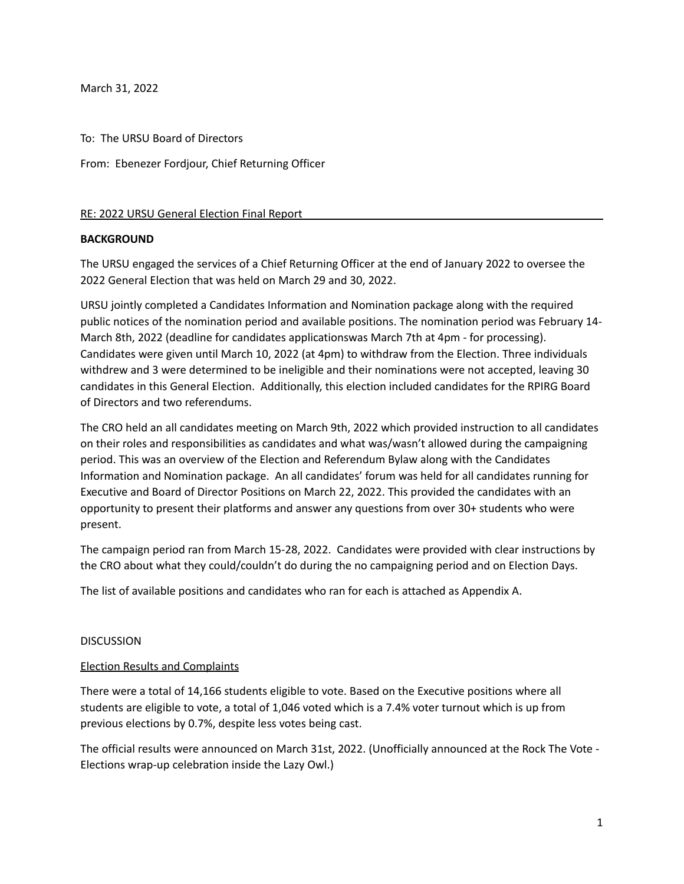March 31, 2022

To: The URSU Board of Directors

From: Ebenezer Fordjour, Chief Returning Officer

#### RE: 2022 URSU General Election Final Report

#### **BACKGROUND**

The URSU engaged the services of a Chief Returning Officer at the end of January 2022 to oversee the 2022 General Election that was held on March 29 and 30, 2022.

URSU jointly completed a Candidates Information and Nomination package along with the required public notices of the nomination period and available positions. The nomination period was February 14- March 8th, 2022 (deadline for candidates applicationswas March 7th at 4pm - for processing). Candidates were given until March 10, 2022 (at 4pm) to withdraw from the Election. Three individuals withdrew and 3 were determined to be ineligible and their nominations were not accepted, leaving 30 candidates in this General Election. Additionally, this election included candidates for the RPIRG Board of Directors and two referendums.

The CRO held an all candidates meeting on March 9th, 2022 which provided instruction to all candidates on their roles and responsibilities as candidates and what was/wasn't allowed during the campaigning period. This was an overview of the Election and Referendum Bylaw along with the Candidates Information and Nomination package. An all candidates' forum was held for all candidates running for Executive and Board of Director Positions on March 22, 2022. This provided the candidates with an opportunity to present their platforms and answer any questions from over 30+ students who were present.

The campaign period ran from March 15-28, 2022. Candidates were provided with clear instructions by the CRO about what they could/couldn't do during the no campaigning period and on Election Days.

The list of available positions and candidates who ran for each is attached as Appendix A.

#### **DISCUSSION**

#### Election Results and Complaints

There were a total of 14,166 students eligible to vote. Based on the Executive positions where all students are eligible to vote, a total of 1,046 voted which is a 7.4% voter turnout which is up from previous elections by 0.7%, despite less votes being cast.

The official results were announced on March 31st, 2022. (Unofficially announced at the Rock The Vote - Elections wrap-up celebration inside the Lazy Owl.)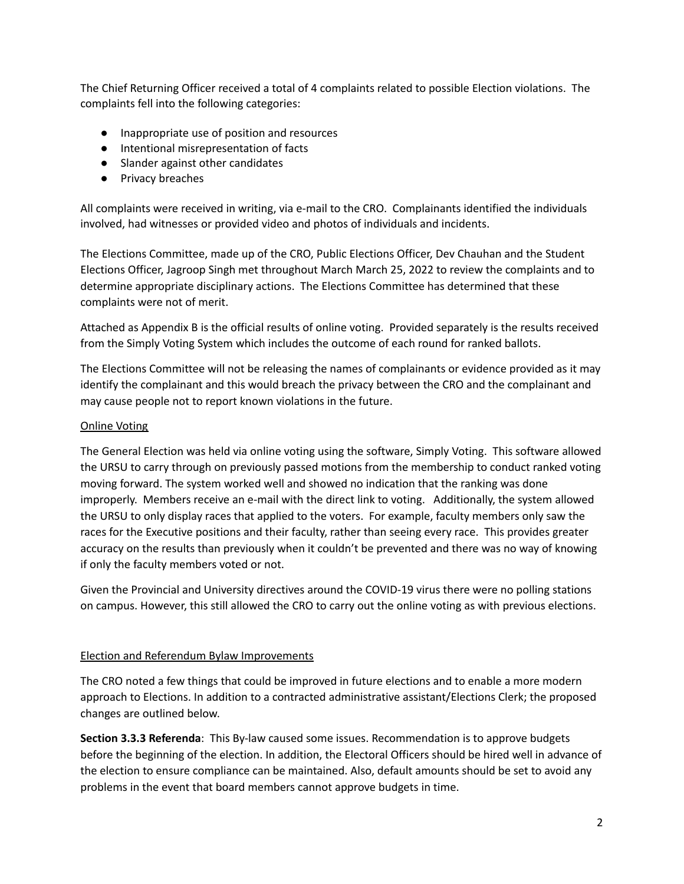The Chief Returning Officer received a total of 4 complaints related to possible Election violations. The complaints fell into the following categories:

- Inappropriate use of position and resources
- Intentional misrepresentation of facts
- Slander against other candidates
- Privacy breaches

All complaints were received in writing, via e-mail to the CRO. Complainants identified the individuals involved, had witnesses or provided video and photos of individuals and incidents.

The Elections Committee, made up of the CRO, Public Elections Officer, Dev Chauhan and the Student Elections Officer, Jagroop Singh met throughout March March 25, 2022 to review the complaints and to determine appropriate disciplinary actions. The Elections Committee has determined that these complaints were not of merit.

Attached as Appendix B is the official results of online voting. Provided separately is the results received from the Simply Voting System which includes the outcome of each round for ranked ballots.

The Elections Committee will not be releasing the names of complainants or evidence provided as it may identify the complainant and this would breach the privacy between the CRO and the complainant and may cause people not to report known violations in the future.

#### Online Voting

The General Election was held via online voting using the software, Simply Voting. This software allowed the URSU to carry through on previously passed motions from the membership to conduct ranked voting moving forward. The system worked well and showed no indication that the ranking was done improperly. Members receive an e-mail with the direct link to voting. Additionally, the system allowed the URSU to only display races that applied to the voters. For example, faculty members only saw the races for the Executive positions and their faculty, rather than seeing every race. This provides greater accuracy on the results than previously when it couldn't be prevented and there was no way of knowing if only the faculty members voted or not.

Given the Provincial and University directives around the COVID-19 virus there were no polling stations on campus. However, this still allowed the CRO to carry out the online voting as with previous elections.

#### Election and Referendum Bylaw Improvements

The CRO noted a few things that could be improved in future elections and to enable a more modern approach to Elections. In addition to a contracted administrative assistant/Elections Clerk; the proposed changes are outlined below.

**Section 3.3.3 Referenda**: This By-law caused some issues. Recommendation is to approve budgets before the beginning of the election. In addition, the Electoral Officers should be hired well in advance of the election to ensure compliance can be maintained. Also, default amounts should be set to avoid any problems in the event that board members cannot approve budgets in time.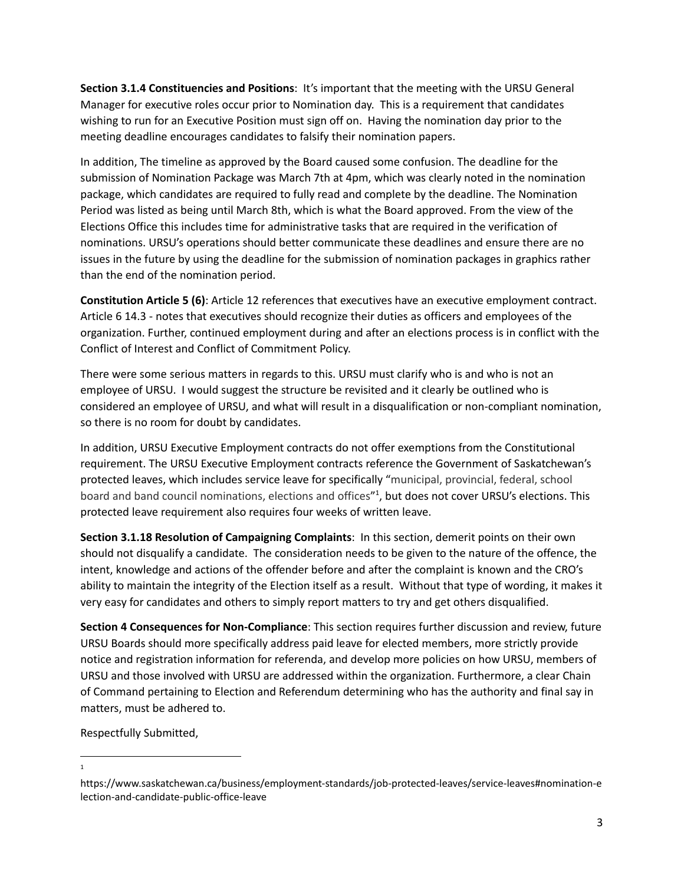**Section 3.1.4 Constituencies and Positions**: It's important that the meeting with the URSU General Manager for executive roles occur prior to Nomination day. This is a requirement that candidates wishing to run for an Executive Position must sign off on. Having the nomination day prior to the meeting deadline encourages candidates to falsify their nomination papers.

In addition, The timeline as approved by the Board caused some confusion. The deadline for the submission of Nomination Package was March 7th at 4pm, which was clearly noted in the nomination package, which candidates are required to fully read and complete by the deadline. The Nomination Period was listed as being until March 8th, which is what the Board approved. From the view of the Elections Office this includes time for administrative tasks that are required in the verification of nominations. URSU's operations should better communicate these deadlines and ensure there are no issues in the future by using the deadline for the submission of nomination packages in graphics rather than the end of the nomination period.

**Constitution Article 5 (6)**: Article 12 references that executives have an executive employment contract. Article 6 14.3 - notes that executives should recognize their duties as officers and employees of the organization. Further, continued employment during and after an elections process is in conflict with the Conflict of Interest and Conflict of Commitment Policy.

There were some serious matters in regards to this. URSU must clarify who is and who is not an employee of URSU. I would suggest the structure be revisited and it clearly be outlined who is considered an employee of URSU, and what will result in a disqualification or non-compliant nomination, so there is no room for doubt by candidates.

In addition, URSU Executive Employment contracts do not offer exemptions from the Constitutional requirement. The URSU Executive Employment contracts reference the Government of Saskatchewan's protected leaves, which includes service leave for specifically "municipal, provincial, federal, school board and band council nominations, elections and offices"<sup>1</sup>, but does not cover URSU's elections. This protected leave requirement also requires four weeks of written leave.

**Section 3.1.18 Resolution of Campaigning Complaints**: In this section, demerit points on their own should not disqualify a candidate. The consideration needs to be given to the nature of the offence, the intent, knowledge and actions of the offender before and after the complaint is known and the CRO's ability to maintain the integrity of the Election itself as a result. Without that type of wording, it makes it very easy for candidates and others to simply report matters to try and get others disqualified.

**Section 4 Consequences for Non-Compliance**: This section requires further discussion and review, future URSU Boards should more specifically address paid leave for elected members, more strictly provide notice and registration information for referenda, and develop more policies on how URSU, members of URSU and those involved with URSU are addressed within the organization. Furthermore, a clear Chain of Command pertaining to Election and Referendum determining who has the authority and final say in matters, must be adhered to.

Respectfully Submitted,

<sup>1</sup>

https://www.saskatchewan.ca/business/employment-standards/job-protected-leaves/service-leaves#nomination-e lection-and-candidate-public-office-leave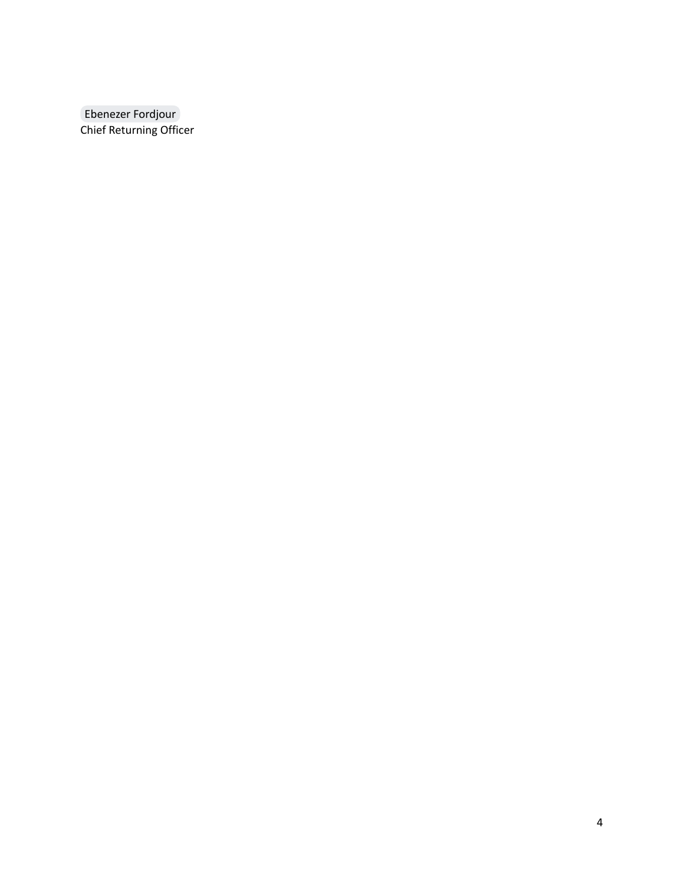[Ebenezer](mailto:cro@ursu.ca) Fordjour Chief Returning Officer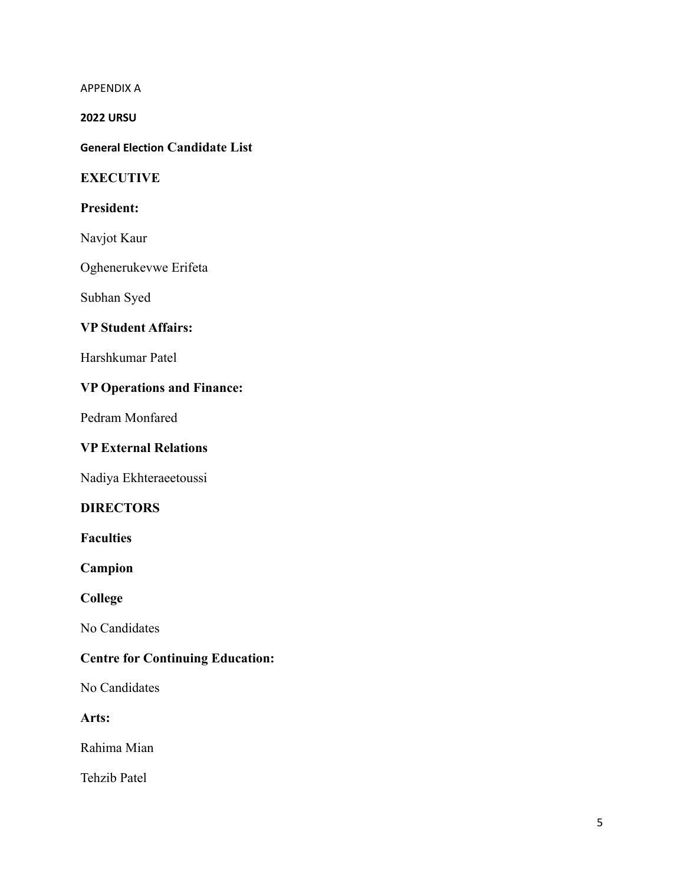APPENDIX A

**2022 URSU**

**General Election Candidate List**

## **EXECUTIVE**

#### **President:**

Navjot Kaur

Oghenerukevwe Erifeta

Subhan Syed

# **VP Student Affairs:**

Harshkumar Patel

# **VP Operations and Finance:**

Pedram Monfared

#### **VP External Relations**

Nadiya Ekhteraeetoussi

## **DIRECTORS**

**Faculties**

**Campion**

**College**

No Candidates

# **Centre for Continuing Education:**

No Candidates

**Arts:**

Rahima Mian

Tehzib Patel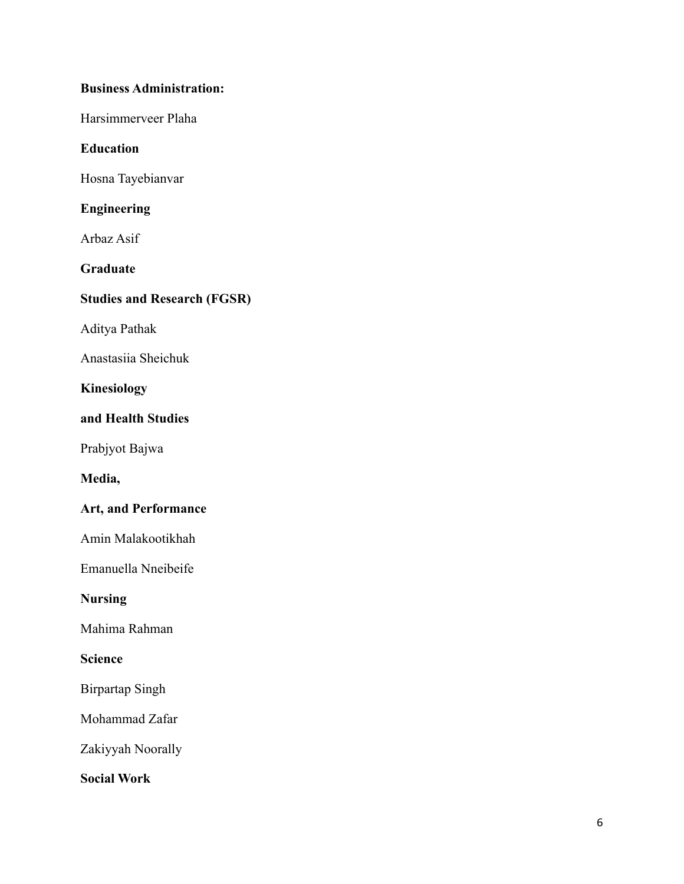# **Business Administration:**

Harsimmerveer Plaha

# **Education**

Hosna Tayebianvar

# **Engineering**

Arbaz Asif

# **Graduate**

# **Studies and Research (FGSR)**

Aditya Pathak

Anastasiia Sheichuk

# **Kinesiology**

# **and Health Studies**

Prabjyot Bajwa

# **Media,**

# **Art, and Performance**

Amin Malakootikhah

Emanuella Nneibeife

# **Nursing**

Mahima Rahman

# **Science**

Birpartap Singh

Mohammad Zafar

Zakiyyah Noorally

# **Social Work**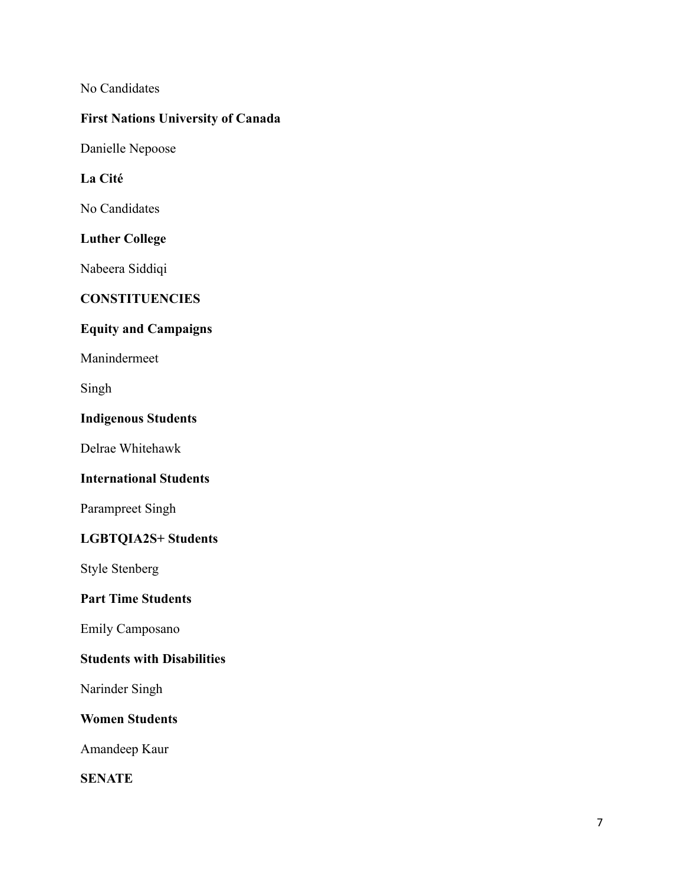No Candidates

# **First Nations University of Canada**

Danielle Nepoose

# **La Cité**

No Candidates

# **Luther College**

Nabeera Siddiqi

# **CONSTITUENCIES**

# **Equity and Campaigns**

Manindermeet

Singh

# **Indigenous Students**

Delrae Whitehawk

# **International Students**

Parampreet Singh

# **LGBTQIA2S+ Students**

Style Stenberg

# **Part Time Students**

Emily Camposano

# **Students with Disabilities**

Narinder Singh

# **Women Students**

Amandeep Kaur

**SENATE**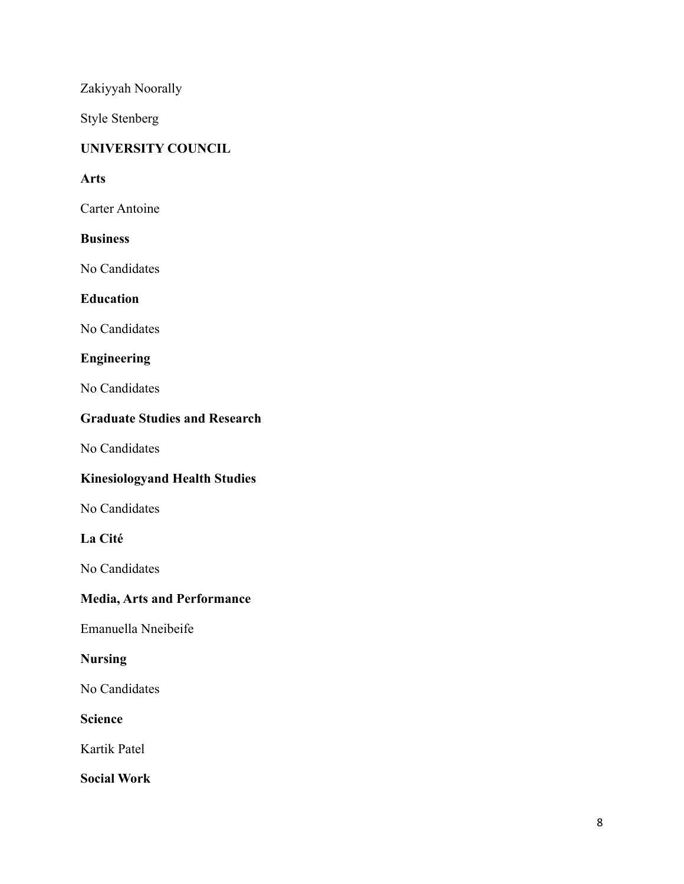Zakiyyah Noorally

Style Stenberg

# **UNIVERSITY COUNCIL**

# **Arts**

Carter Antoine

# **Business**

No Candidates

# **Education**

No Candidates

# **Engineering**

No Candidates

# **Graduate Studies and Research**

No Candidates

# **Kinesiologyand Health Studies**

No Candidates

# **La Cité**

No Candidates

# **Media, Arts and Performance**

Emanuella Nneibeife

# **Nursing**

No Candidates

# **Science**

Kartik Patel

**Social Work**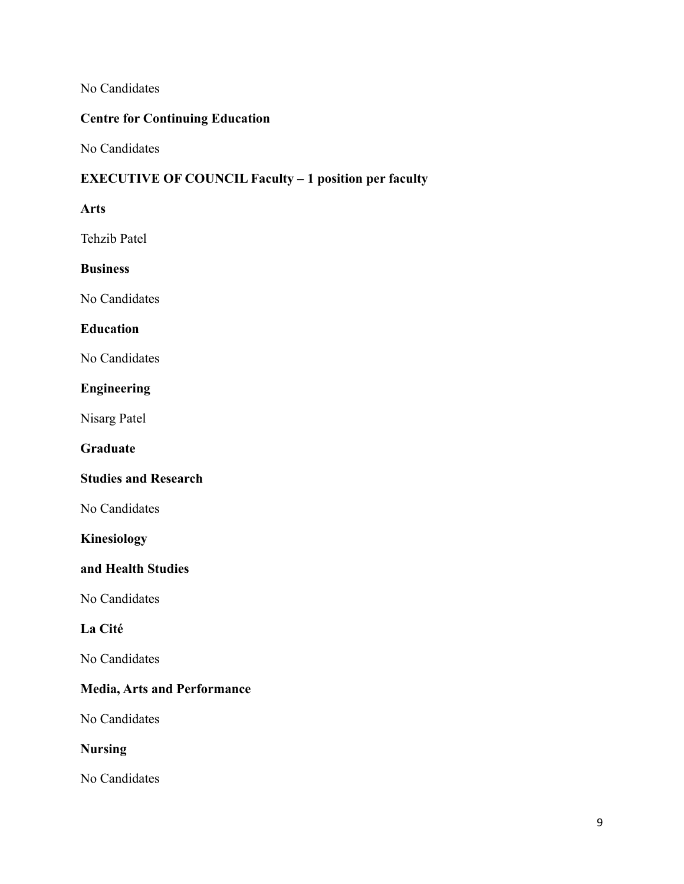No Candidates

# **Centre for Continuing Education**

No Candidates

# **EXECUTIVE OF COUNCIL Faculty – 1 position per faculty**

#### **Arts**

Tehzib Patel

#### **Business**

No Candidates

## **Education**

No Candidates

# **Engineering**

Nisarg Patel

## **Graduate**

#### **Studies and Research**

No Candidates

# **Kinesiology**

## **and Health Studies**

No Candidates

# **La Cité**

No Candidates

# **Media, Arts and Performance**

No Candidates

# **Nursing**

No Candidates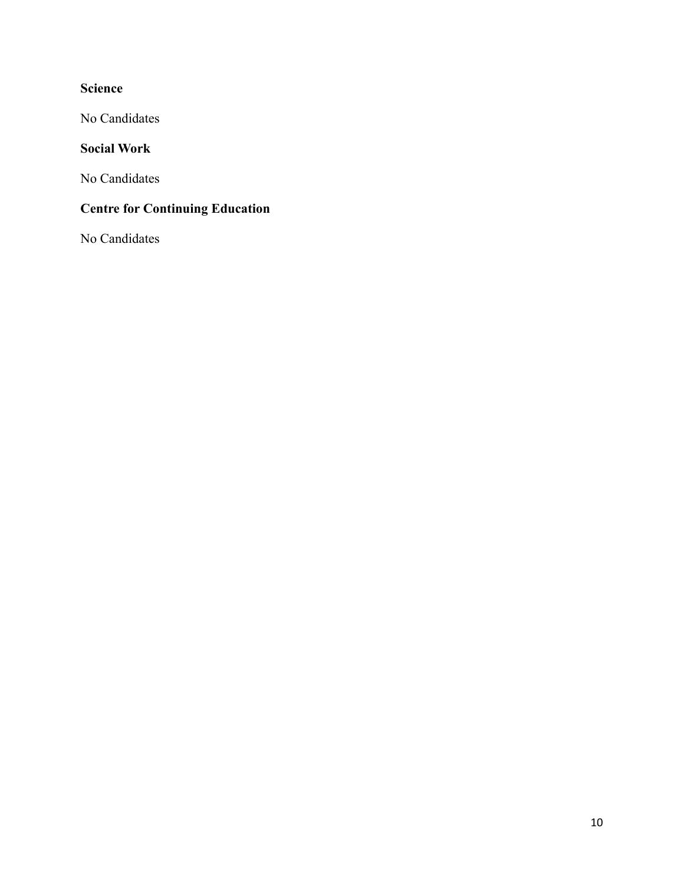# **Science**

No Candidates

# **Social Work**

No Candidates

# **Centre for Continuing Education**

No Candidates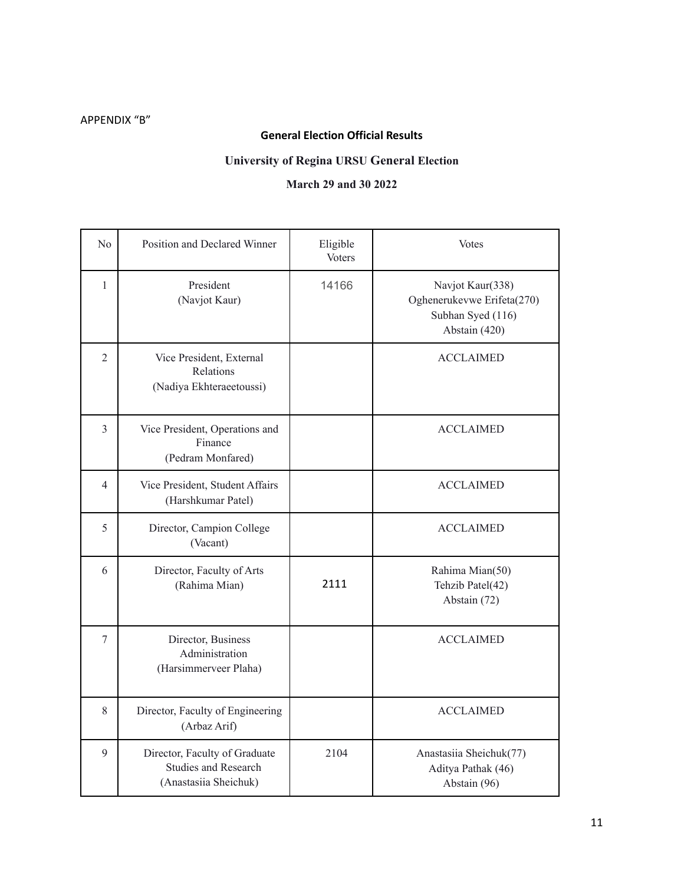# APPENDIX "B"

# **General Election Official Results**

## **University of Regina URSU General Election**

## **March 29 and 30 2022**

| No             | Position and Declared Winner                                                          | Eligible<br><b>Voters</b> | <b>Votes</b>                                                                         |
|----------------|---------------------------------------------------------------------------------------|---------------------------|--------------------------------------------------------------------------------------|
| $\mathbf{1}$   | President<br>(Navjot Kaur)                                                            | 14166                     | Navjot Kaur(338)<br>Oghenerukevwe Erifeta(270)<br>Subhan Syed (116)<br>Abstain (420) |
| $\overline{2}$ | Vice President, External<br>Relations<br>(Nadiya Ekhteraeetoussi)                     |                           | <b>ACCLAIMED</b>                                                                     |
| 3              | Vice President, Operations and<br>Finance<br>(Pedram Monfared)                        |                           | <b>ACCLAIMED</b>                                                                     |
| $\overline{4}$ | Vice President, Student Affairs<br>(Harshkumar Patel)                                 |                           | <b>ACCLAIMED</b>                                                                     |
| 5              | Director, Campion College<br>(Vacant)                                                 |                           | <b>ACCLAIMED</b>                                                                     |
| 6              | Director, Faculty of Arts<br>(Rahima Mian)                                            | 2111                      | Rahima Mian(50)<br>Tehzib Patel(42)<br>Abstain (72)                                  |
| $\overline{7}$ | Director, Business<br>Administration<br>(Harsimmerveer Plaha)                         |                           | <b>ACCLAIMED</b>                                                                     |
| 8              | Director, Faculty of Engineering<br>(Arbaz Arif)                                      |                           | <b>ACCLAIMED</b>                                                                     |
| 9              | Director, Faculty of Graduate<br><b>Studies and Research</b><br>(Anastasiia Sheichuk) | 2104                      | Anastasiia Sheichuk(77)<br>Aditya Pathak (46)<br>Abstain (96)                        |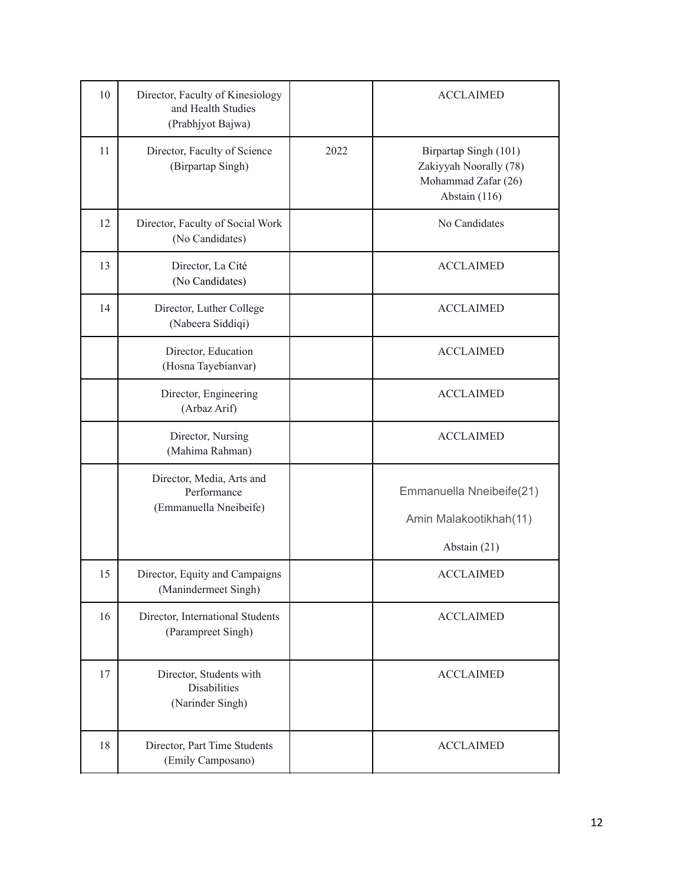| 10 | Director, Faculty of Kinesiology<br>and Health Studies<br>(Prabhjyot Bajwa) |      | <b>ACCLAIMED</b>                                                                        |
|----|-----------------------------------------------------------------------------|------|-----------------------------------------------------------------------------------------|
| 11 | Director, Faculty of Science<br>(Birpartap Singh)                           | 2022 | Birpartap Singh (101)<br>Zakiyyah Noorally (78)<br>Mohammad Zafar (26)<br>Abstain (116) |
| 12 | Director, Faculty of Social Work<br>(No Candidates)                         |      | No Candidates                                                                           |
| 13 | Director, La Cité<br>(No Candidates)                                        |      | <b>ACCLAIMED</b>                                                                        |
| 14 | Director, Luther College<br>(Nabeera Siddiqi)                               |      | <b>ACCLAIMED</b>                                                                        |
|    | Director, Education<br>(Hosna Tayebianvar)                                  |      | <b>ACCLAIMED</b>                                                                        |
|    | Director, Engineering<br>(Arbaz Arif)                                       |      | <b>ACCLAIMED</b>                                                                        |
|    | Director, Nursing<br>(Mahima Rahman)                                        |      | <b>ACCLAIMED</b>                                                                        |
|    | Director, Media, Arts and<br>Performance<br>(Emmanuella Nneibeife)          |      | Emmanuella Nneibeife(21)<br>Amin Malakootikhah(11)<br>Abstain (21)                      |
| 15 | Director, Equity and Campaigns<br>(Manindermeet Singh)                      |      | <b>ACCLAIMED</b>                                                                        |
| 16 | Director, International Students<br>(Parampreet Singh)                      |      | <b>ACCLAIMED</b>                                                                        |
| 17 | Director, Students with<br><b>Disabilities</b><br>(Narinder Singh)          |      | <b>ACCLAIMED</b>                                                                        |
| 18 | Director, Part Time Students<br>(Emily Camposano)                           |      | <b>ACCLAIMED</b>                                                                        |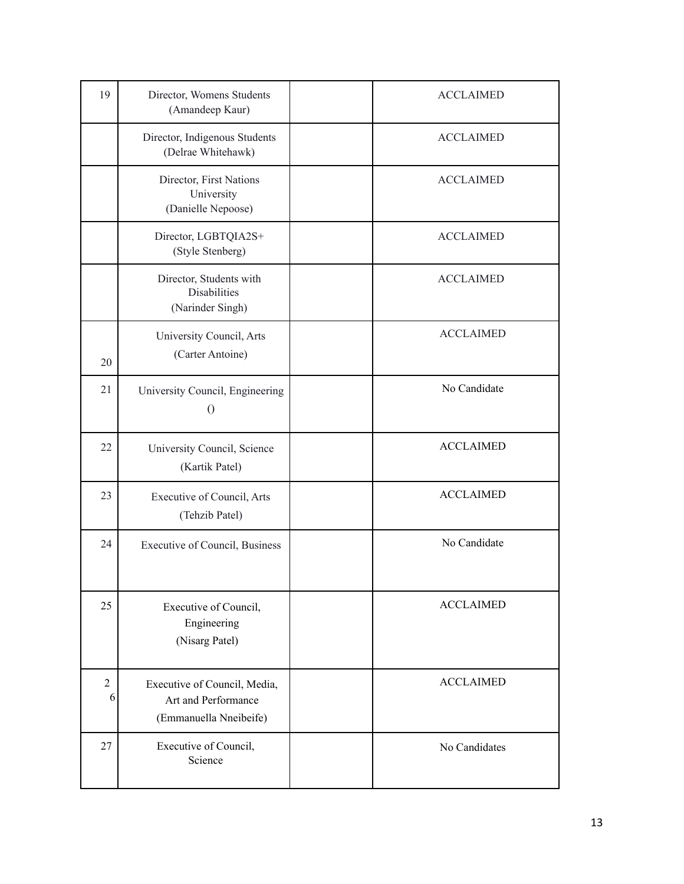| 19                  | Director, Womens Students<br>(Amandeep Kaur)                                  | <b>ACCLAIMED</b> |
|---------------------|-------------------------------------------------------------------------------|------------------|
|                     | Director, Indigenous Students<br>(Delrae Whitehawk)                           | <b>ACCLAIMED</b> |
|                     | Director, First Nations<br>University<br>(Danielle Nepoose)                   | <b>ACCLAIMED</b> |
|                     | Director, LGBTQIA2S+<br>(Style Stenberg)                                      | <b>ACCLAIMED</b> |
|                     | Director, Students with<br><b>Disabilities</b><br>(Narinder Singh)            | <b>ACCLAIMED</b> |
| 20                  | University Council, Arts<br>(Carter Antoine)                                  | <b>ACCLAIMED</b> |
| 21                  | University Council, Engineering<br>$\theta$                                   | No Candidate     |
| 22                  | University Council, Science<br>(Kartik Patel)                                 | <b>ACCLAIMED</b> |
| 23                  | Executive of Council, Arts<br>(Tehzib Patel)                                  | <b>ACCLAIMED</b> |
| 24                  | Executive of Council, Business                                                | No Candidate     |
| 25                  | Executive of Council,<br>Engineering<br>(Nisarg Patel)                        | <b>ACCLAIMED</b> |
| $\overline{2}$<br>6 | Executive of Council, Media,<br>Art and Performance<br>(Emmanuella Nneibeife) | <b>ACCLAIMED</b> |
| 27                  | Executive of Council,<br>Science                                              | No Candidates    |